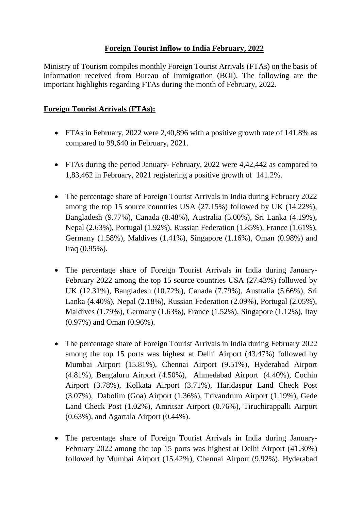## **Foreign Tourist Inflow to India February, 2022**

Ministry of Tourism compiles monthly Foreign Tourist Arrivals (FTAs) on the basis of information received from Bureau of Immigration (BOI). The following are the important highlights regarding FTAs during the month of February, 2022.

## **Foreign Tourist Arrivals (FTAs):**

- FTAs in February, 2022 were 2,40,896 with a positive growth rate of 141.8% as compared to 99,640 in February, 2021.
- FTAs during the period January- February, 2022 were 4,42,442 as compared to 1,83,462 in February, 2021 registering a positive growth of 141.2%.
- The percentage share of Foreign Tourist Arrivals in India during February 2022 among the top 15 source countries USA (27.15%) followed by UK (14.22%), Bangladesh (9.77%), Canada (8.48%), Australia (5.00%), Sri Lanka (4.19%), Nepal (2.63%), Portugal (1.92%), Russian Federation (1.85%), France (1.61%), Germany (1.58%), Maldives (1.41%), Singapore (1.16%), Oman (0.98%) and Iraq (0.95%).
- The percentage share of Foreign Tourist Arrivals in India during January-February 2022 among the top 15 source countries USA (27.43%) followed by UK (12.31%), Bangladesh (10.72%), Canada (7.79%), Australia (5.66%), Sri Lanka (4.40%), Nepal (2.18%), Russian Federation (2.09%), Portugal (2.05%), Maldives (1.79%), Germany (1.63%), France (1.52%), Singapore (1.12%), Itay (0.97%) and Oman (0.96%).
- The percentage share of Foreign Tourist Arrivals in India during February 2022 among the top 15 ports was highest at Delhi Airport (43.47%) followed by Mumbai Airport (15.81%), Chennai Airport (9.51%), Hyderabad Airport (4.81%), Bengaluru Airport (4.50%), Ahmedabad Airport (4.40%), Cochin Airport (3.78%), Kolkata Airport (3.71%), Haridaspur Land Check Post (3.07%), Dabolim (Goa) Airport (1.36%), Trivandrum Airport (1.19%), Gede Land Check Post (1.02%), Amritsar Airport (0.76%), Tiruchirappalli Airport (0.63%), and Agartala Airport (0.44%).
- The percentage share of Foreign Tourist Arrivals in India during January-February 2022 among the top 15 ports was highest at Delhi Airport (41.30%) followed by Mumbai Airport (15.42%), Chennai Airport (9.92%), Hyderabad